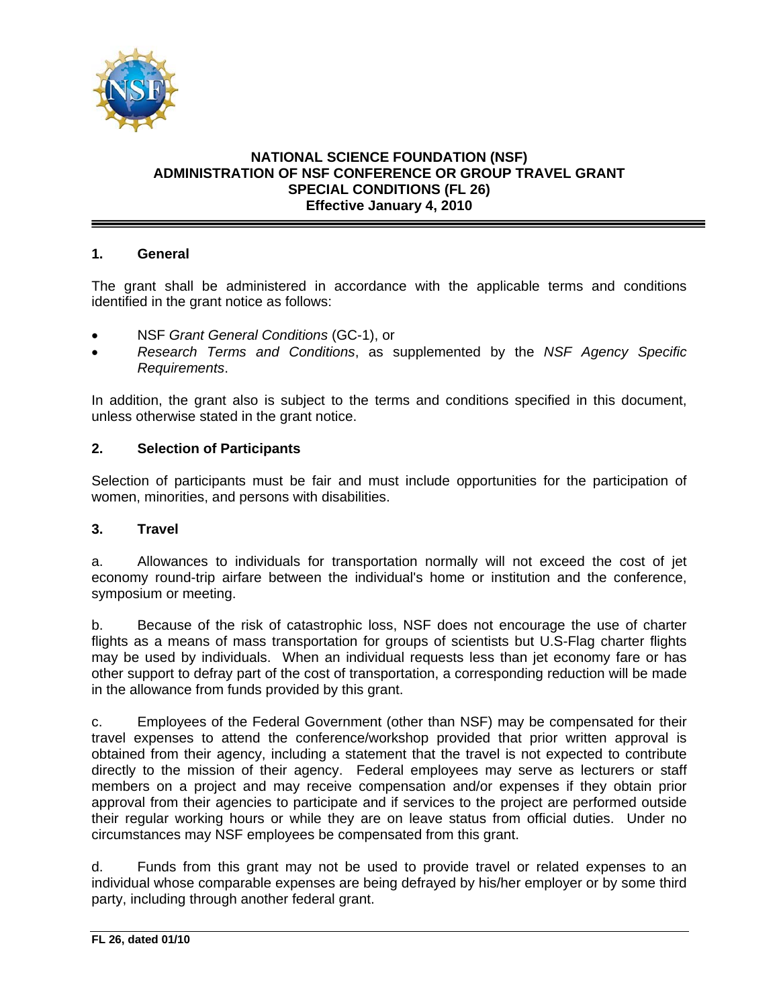

# **NATIONAL SCIENCE FOUNDATION (NSF) ADMINISTRATION OF NSF CONFERENCE OR GROUP TRAVEL GRANT SPECIAL CONDITIONS (FL 26) Effective January 4, 2010**

## **1. General**

The grant shall be administered in accordance with the applicable terms and conditions identified in the grant notice as follows:

- NSF *Grant General Conditions* (GC-1), or
- *Research Terms and Conditions*, as supplemented by the *NSF Agency Specific Requirements*.

In addition, the grant also is subject to the terms and conditions specified in this document, unless otherwise stated in the grant notice.

## **2. Selection of Participants**

Selection of participants must be fair and must include opportunities for the participation of women, minorities, and persons with disabilities.

#### **3. Travel**

a. Allowances to individuals for transportation normally will not exceed the cost of jet economy round-trip airfare between the individual's home or institution and the conference, symposium or meeting.

b. Because of the risk of catastrophic loss, NSF does not encourage the use of charter flights as a means of mass transportation for groups of scientists but U.S-Flag charter flights may be used by individuals. When an individual requests less than jet economy fare or has other support to defray part of the cost of transportation, a corresponding reduction will be made in the allowance from funds provided by this grant.

c. Employees of the Federal Government (other than NSF) may be compensated for their travel expenses to attend the conference/workshop provided that prior written approval is obtained from their agency, including a statement that the travel is not expected to contribute directly to the mission of their agency. Federal employees may serve as lecturers or staff members on a project and may receive compensation and/or expenses if they obtain prior approval from their agencies to participate and if services to the project are performed outside their regular working hours or while they are on leave status from official duties. Under no circumstances may NSF employees be compensated from this grant.

d. Funds from this grant may not be used to provide travel or related expenses to an individual whose comparable expenses are being defrayed by his/her employer or by some third party, including through another federal grant.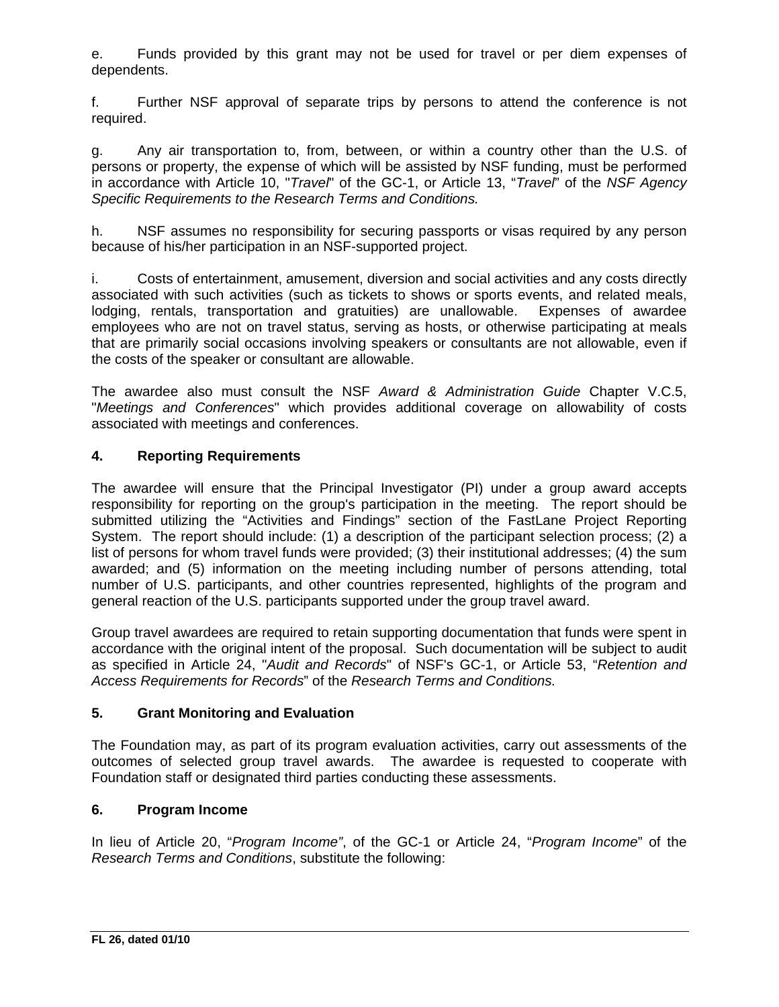e. Funds provided by this grant may not be used for travel or per diem expenses of dependents.

f. Further NSF approval of separate trips by persons to attend the conference is not required.

g. Any air transportation to, from, between, or within a country other than the U.S. of persons or property, the expense of which will be assisted by NSF funding, must be performed in accordance with Article 10, "*Travel*" of the GC-1, or Article 13, "*Travel*" of the *NSF Agency Specific Requirements to the Research Terms and Conditions.* 

h. NSF assumes no responsibility for securing passports or visas required by any person because of his/her participation in an NSF-supported project.

i. Costs of entertainment, amusement, diversion and social activities and any costs directly associated with such activities (such as tickets to shows or sports events, and related meals, lodging, rentals, transportation and gratuities) are unallowable. Expenses of awardee employees who are not on travel status, serving as hosts, or otherwise participating at meals that are primarily social occasions involving speakers or consultants are not allowable, even if the costs of the speaker or consultant are allowable.

The awardee also must consult the NSF *Award & Administration Guide* Chapter V.C.5, "*Meetings and Conferences*" which provides additional coverage on allowability of costs associated with meetings and conferences.

## **4. Reporting Requirements**

The awardee will ensure that the Principal Investigator (PI) under a group award accepts responsibility for reporting on the group's participation in the meeting. The report should be submitted utilizing the "Activities and Findings" section of the FastLane Project Reporting System. The report should include: (1) a description of the participant selection process; (2) a list of persons for whom travel funds were provided; (3) their institutional addresses; (4) the sum awarded; and (5) information on the meeting including number of persons attending, total number of U.S. participants, and other countries represented, highlights of the program and general reaction of the U.S. participants supported under the group travel award.

Group travel awardees are required to retain supporting documentation that funds were spent in accordance with the original intent of the proposal. Such documentation will be subject to audit as specified in Article 24, "*Audit and Records*" of NSF's GC-1, or Article 53, "*Retention and Access Requirements for Records*" of the *Research Terms and Conditions.* 

## **5. Grant Monitoring and Evaluation**

The Foundation may, as part of its program evaluation activities, carry out assessments of the outcomes of selected group travel awards. The awardee is requested to cooperate with Foundation staff or designated third parties conducting these assessments.

## **6. Program Income**

In lieu of Article 20, "*Program Income"*, of the GC-1 or Article 24, "*Program Income*" of the *Research Terms and Conditions*, substitute the following: